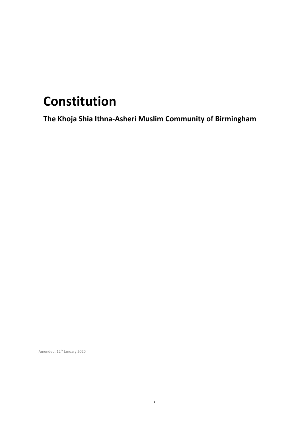# **Constitution**

**The Khoja Shia Ithna-Asheri Muslim Community of Birmingham**

Amended: 12<sup>th</sup> January 2020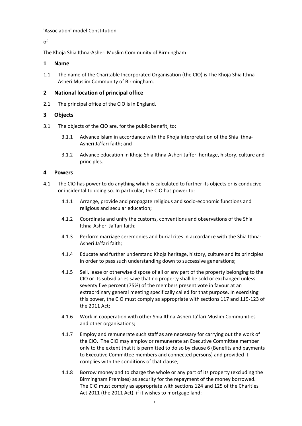## 'Association' model Constitution

of

The Khoja Shia Ithna-Asheri Muslim Community of Birmingham

# **1 Name**

1.1 The name of the Charitable Incorporated Organisation (the CIO) is The Khoja Shia Ithna-Asheri Muslim Community of Birmingham.

# **2 National location of principal office**

2.1 The principal office of the CIO is in England.

# <span id="page-1-0"></span>**3 Objects**

- 3.1 The objects of the CIO are, for the public benefit, to:
	- 3.1.1 Advance Islam in accordance with the Khoja interpretation of the Shia Ithna-Asheri Ja'fari faith; and
	- 3.1.2 Advance education in Khoja Shia Ithna-Asheri Jafferi heritage, history, culture and principles.

# **4 Powers**

- 4.1 The CIO has power to do anything which is calculated to further its objects or is conducive or incidental to doing so. In particular, the CIO has power to:
	- 4.1.1 Arrange, provide and propagate religious and socio-economic functions and religious and secular education;
	- 4.1.2 Coordinate and unify the customs, conventions and observations of the Shia Ithna-Asheri Ja'fari faith;
	- 4.1.3 Perform marriage ceremonies and burial rites in accordance with the Shia Ithna-Asheri Ja'fari faith;
	- 4.1.4 Educate and further understand Khoja heritage, history, culture and its principles in order to pass such understanding down to successive generations;
	- 4.1.5 Sell, lease or otherwise dispose of all or any part of the property belonging to the CIO or its subsidiaries save that no property shall be sold or exchanged unless seventy five percent (75%) of the members present vote in favour at an extraordinary general meeting specifically called for that purpose. In exercising this power, the CIO must comply as appropriate with sections 117 and 119-123 of the 2011 Act;
	- 4.1.6 Work in cooperation with other Shia Ithna-Asheri Ja'fari Muslim Communities and other organisations;
	- 4.1.7 Employ and remunerate such staff as are necessary for carrying out the work of the CIO. The CIO may employ or remunerate an Executive Committee member only to the extent that it is permitted to do so by clause 6 (Benefits and payments to Executive Committee members and connected persons) and provided it complies with the conditions of that clause;
	- 4.1.8 Borrow money and to charge the whole or any part of its property (excluding the Birmingham Premises) as security for the repayment of the money borrowed. The CIO must comply as appropriate with sections 124 and 125 of the Charities Act 2011 (the 2011 Act), if it wishes to mortgage land;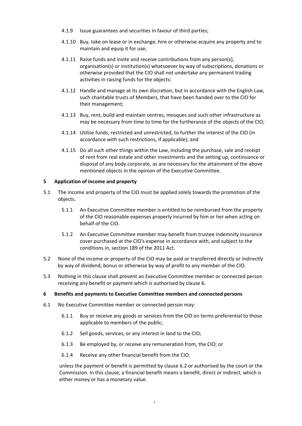- 4.1.9 Issue guarantees and securities in favour of third parties;
- 4.1.10 Buy, take on lease or in exchange, hire or otherwise acquire any property and to maintain and equip it for use;
- 4.1.11 Raise funds and invite and receive contributions from any person(s), organisation(s) or institution(s) whatsoever by way of subscriptions, donations or otherwise provided that the CIO shall not undertake any permanent trading activities in raising funds for the objects;
- 4.1.12 Handle and manage at its own discretion, but in accordance with the English Law, such charitable trusts of Members, that have been handed over to the CIO for their management;
- 4.1.13 Buy, rent, build and maintain centres, mosques and such other infrastructure as may be necessary from time to time for the furtherance of the objects of the CIO;
- 4.1.14 Utilise funds, restricted and unrestricted, to further the interest of the CIO (in accordance with such restrictions, if applicable); and
- 4.1.15 Do all such other things within the Law, including the purchase, sale and receipt of rent from real estate and other investments and the setting up, continuance or disposal of any body corporate, as are necessary for the attainment of the above mentioned objects in the opinion of the Executive Committee.

# **5 Application of income and property**

- 5.1 The income and property of the CIO must be applied solely towards the promotion of the objects.
	- 5.1.1 An Executive Committee member is entitled to be reimbursed from the property of the CIO reasonable expenses properly incurred by him or her when acting on behalf of the CIO.
	- 5.1.2 An Executive Committee member may benefit from trustee indemnity insurance cover purchased at the CIO's expense in accordance with, and subject to the conditions in, section 189 of the 2011 Act.
- 5.2 None of the income or property of the CIO may be paid or transferred directly or indirectly by way of dividend, bonus or otherwise by way of profit to any member of the CIO.
- 5.3 Nothing in this clause shall prevent an Executive Committee member or connected person receiving any benefit or payment which is authorised by clause 6.

# <span id="page-2-0"></span>**6 Benefits and payments to Executive Committee members and connected persons**

- 6.1 No Executive Committee member or connected person may:
	- 6.1.1 Buy or receive any goods or services from the CIO on terms preferential to those applicable to members of the public;
	- 6.1.2 Sell goods, services, or any interest in land to the CIO;
	- 6.1.3 Be employed by, or receive any remuneration from, the CIO; or
	- 6.1.4 Receive any other financial benefit from the CIO.

unless the payment or benefit is permitted by clause [6.2](#page-3-0) or authorised by the court or the Commission. In this clause, a financial benefit means a benefit, direct or indirect, which is either money or has a monetary value.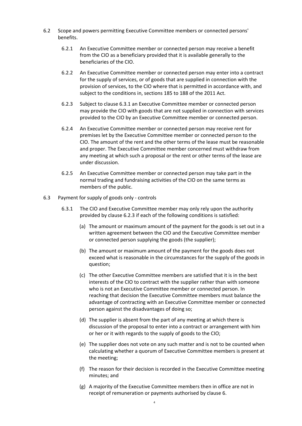- <span id="page-3-2"></span><span id="page-3-0"></span>6.2 Scope and powers permitting Executive Committee members or connected persons' benefits.
	- 6.2.1 An Executive Committee member or connected person may receive a benefit from the CIO as a beneficiary provided that it is available generally to the beneficiaries of the CIO.
	- 6.2.2 An Executive Committee member or connected person may enter into a contract for the supply of services, or of goods that are supplied in connection with the provision of services, to the CIO where that is permitted in accordance with, and subject to the conditions in, sections 185 to 188 of the 2011 Act.
	- 6.2.3 Subject to clause [6.3.1](#page-3-1) an Executive Committee member or connected person may provide the CIO with goods that are not supplied in connection with services provided to the CIO by an Executive Committee member or connected person.
	- 6.2.4 An Executive Committee member or connected person may receive rent for premises let by the Executive Committee member or connected person to the CIO. The amount of the rent and the other terms of the lease must be reasonable and proper. The Executive Committee member concerned must withdraw from any meeting at which such a proposal or the rent or other terms of the lease are under discussion.
	- 6.2.5 An Executive Committee member or connected person may take part in the normal trading and fundraising activities of the CIO on the same terms as members of the public.
- <span id="page-3-3"></span><span id="page-3-1"></span>6.3 Payment for supply of goods only - controls
	- 6.3.1 The CIO and Executive Committee member may only rely upon the authority provided by claus[e 6.2.3](#page-3-2) if each of the following conditions is satisfied:
		- (a) The amount or maximum amount of the payment for the goods is set out in a written agreement between the CIO and the Executive Committee member or connected person supplying the goods (the supplier);
		- (b) The amount or maximum amount of the payment for the goods does not exceed what is reasonable in the circumstances for the supply of the goods in question;
		- (c) The other Executive Committee members are satisfied that it is in the best interests of the CIO to contract with the supplier rather than with someone who is not an Executive Committee member or connected person. In reaching that decision the Executive Committee members must balance the advantage of contracting with an Executive Committee member or connected person against the disadvantages of doing so;
		- (d) The supplier is absent from the part of any meeting at which there is discussion of the proposal to enter into a contract or arrangement with him or her or it with regards to the supply of goods to the CIO;
		- (e) The supplier does not vote on any such matter and is not to be counted when calculating whether a quorum of Executive Committee members is present at the meeting;
		- (f) The reason for their decision is recorded in the Executive Committee meeting minutes; and
		- (g) A majority of the Executive Committee members then in office are not in receipt of remuneration or payments authorised by claus[e 6.](#page-2-0)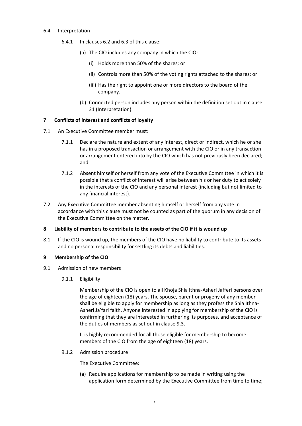## 6.4 Interpretation

- 6.4.1 In clauses [6.2](#page-3-0) and [6.3](#page-3-3) of this clause:
	- (a) The CIO includes any company in which the CIO:
		- (i) Holds more than 50% of the shares; or
		- (ii) Controls more than 50% of the voting rights attached to the shares; or
		- (iii) Has the right to appoint one or more directors to the board of the company.
	- (b) Connected person includes any person within the definition set out in clause [31](#page-24-0) (Interpretation).

## **7 Conflicts of interest and conflicts of loyalty**

- 7.1 An Executive Committee member must:
	- 7.1.1 Declare the nature and extent of any interest, direct or indirect, which he or she has in a proposed transaction or arrangement with the CIO or in any transaction or arrangement entered into by the CIO which has not previously been declared; and
	- 7.1.2 Absent himself or herself from any vote of the Executive Committee in which it is possible that a conflict of interest will arise between his or her duty to act solely in the interests of the CIO and any personal interest (including but not limited to any financial interest).
- 7.2 Any Executive Committee member absenting himself or herself from any vote in accordance with this clause must not be counted as part of the quorum in any decision of the Executive Committee on the matter.

#### **8 Liability of members to contribute to the assets of the CIO if it is wound up**

8.1 If the CIO is wound up, the members of the CIO have no liability to contribute to its assets and no personal responsibility for settling its debts and liabilities.

#### **9 Membership of the CIO**

- 9.1 Admission of new members
	- 9.1.1 Eligibility

Membership of the CIO is open to all Khoja Shia Ithna-Asheri Jafferi persons over the age of eighteen (18) years. The spouse, parent or progeny of any member shall be eligible to apply for membership as long as they profess the Shia Ithna-Asheri Ja'fari faith. Anyone interested in applying for membership of the CIO is confirming that they are interested in furthering its purposes, and acceptance of the duties of members as set out in claus[e 9.3.](#page-5-0)

It is highly recommended for all those eligible for membership to become members of the CIO from the age of eighteen (18) years.

9.1.2 Admission procedure

The Executive Committee:

(a) Require applications for membership to be made in writing using the application form determined by the Executive Committee from time to time;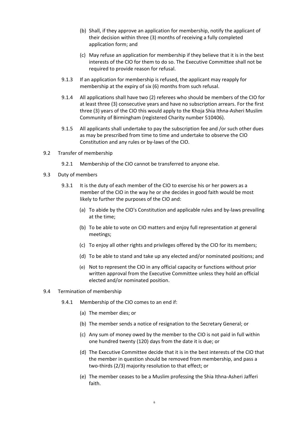- (b) Shall, if they approve an application for membership, notify the applicant of their decision within three (3) months of receiving a fully completed application form; and
- (c) May refuse an application for membership if they believe that it is in the best interests of the CIO for them to do so. The Executive Committee shall not be required to provide reason for refusal.
- 9.1.3 If an application for membership is refused, the applicant may reapply for membership at the expiry of six (6) months from such refusal.
- 9.1.4 All applications shall have two (2) referees who should be members of the CIO for at least three (3) consecutive years and have no subscription arrears. For the first three (3) years of the CIO this would apply to the Khoja Shia Ithna-Asheri Muslim Community of Birmingham (registered Charity number 510406).
- 9.1.5 All applicants shall undertake to pay the subscription fee and /or such other dues as may be prescribed from time to time and undertake to observe the CIO Constitution and any rules or by-laws of the CIO.
- 9.2 Transfer of membership
	- 9.2.1 Membership of the CIO cannot be transferred to anyone else.
- <span id="page-5-0"></span>9.3 Duty of members
	- 9.3.1 It is the duty of each member of the CIO to exercise his or her powers as a member of the CIO in the way he or she decides in good faith would be most likely to further the purposes of the CIO and:
		- (a) To abide by the CIO's Constitution and applicable rules and by-laws prevailing at the time;
		- (b) To be able to vote on CIO matters and enjoy full representation at general meetings;
		- (c) To enjoy all other rights and privileges offered by the CIO for its members;
		- (d) To be able to stand and take up any elected and/or nominated positions; and
		- (e) Not to represent the CIO in any official capacity or functions without prior written approval from the Executive Committee unless they hold an official elected and/or nominated position.
- <span id="page-5-2"></span><span id="page-5-1"></span>9.4 Termination of membership
	- 9.4.1 Membership of the CIO comes to an end if:
		- (a) The member dies; or
		- (b) The member sends a notice of resignation to the Secretary General; or
		- (c) Any sum of money owed by the member to the CIO is not paid in full within one hundred twenty (120) days from the date it is due; or
		- (d) The Executive Committee decide that it is in the best interests of the CIO that the member in question should be removed from membership, and pass a two-thirds (2/3) majority resolution to that effect; or
		- (e) The member ceases to be a Muslim professing the Shia Ithna-Asheri Jafferi faith.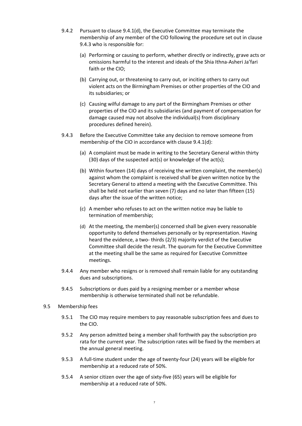- 9.4.2 Pursuant to claus[e 9.4.1\(d\),](#page-5-1) the Executive Committee may terminate the membership of any member of the CIO following the procedure set out in clause [9.4.3](#page-6-0) who is responsible for:
	- (a) Performing or causing to perform, whether directly or indirectly, grave acts or omissions harmful to the interest and ideals of the Shia Ithna-Asheri Ja'fari faith or the CIO;
	- (b) Carrying out, or threatening to carry out, or inciting others to carry out violent acts on the Birmingham Premises or other properties of the CIO and its subsidiaries; or
	- (c) Causing wilful damage to any part of the Birmingham Premises or other properties of the CIO and its subsidiaries (and payment of compensation for damage caused may not absolve the individual(s) from disciplinary procedures defined herein).
- <span id="page-6-0"></span>9.4.3 Before the Executive Committee take any decision to remove someone from membership of the CIO in accordance with clause [9.4.1\(d\):](#page-5-1)
	- (a) A complaint must be made in writing to the Secretary General within thirty (30) days of the suspected act(s) or knowledge of the act(s);
	- (b) Within fourteen (14) days of receiving the written complaint, the member(s) against whom the complaint is received shall be given written notice by the Secretary General to attend a meeting with the Executive Committee. This shall be held not earlier than seven (7) days and no later than fifteen (15) days after the issue of the written notice;
	- (c) A member who refuses to act on the written notice may be liable to termination of membership;
	- (d) At the meeting, the member(s) concerned shall be given every reasonable opportunity to defend themselves personally or by representation. Having heard the evidence, a two- thirds (2/3) majority verdict of the Executive Committee shall decide the result. The quorum for the Executive Committee at the meeting shall be the same as required for Executive Committee meetings.
- 9.4.4 Any member who resigns or is removed shall remain liable for any outstanding dues and subscriptions.
- 9.4.5 Subscriptions or dues paid by a resigning member or a member whose membership is otherwise terminated shall not be refundable.
- 9.5 Membership fees
	- 9.5.1 The CIO may require members to pay reasonable subscription fees and dues to the CIO.
	- 9.5.2 Any person admitted being a member shall forthwith pay the subscription pro rata for the current year. The subscription rates will be fixed by the members at the annual general meeting.
	- 9.5.3 A full-time student under the age of twenty-four (24) years will be eligible for membership at a reduced rate of 50%.
	- 9.5.4 A senior citizen over the age of sixty-five (65) years will be eligible for membership at a reduced rate of 50%.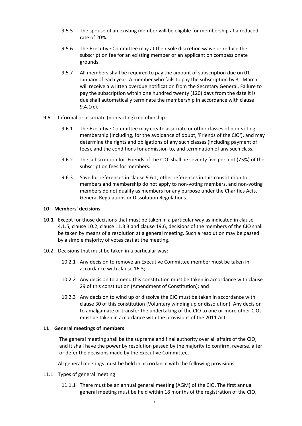- 9.5.5 The spouse of an existing member will be eligible for membership at a reduced rate of 20%.
- 9.5.6 The Executive Committee may at their sole discretion waive or reduce the subscription fee for an existing member or an applicant on compassionate grounds.
- 9.5.7 All members shall be required to pay the amount of subscription due on 01 January of each year. A member who fails to pay the subscription by 31 March will receive a written overdue notification from the Secretary General. Failure to pay the subscription within one hundred twenty (120) days from the date it is due shall automatically terminate the membership in accordance with clause [9.4.1\(c\).](#page-5-2)
- <span id="page-7-4"></span><span id="page-7-0"></span>9.6 Informal or associate (non-voting) membership
	- 9.6.1 The Executive Committee may create associate or other classes of non-voting membership (including, for the avoidance of doubt, 'Friends of the CIO'), and may determine the rights and obligations of any such classes (including payment of fees), and the conditions for admission to, and termination of any such class.
	- 9.6.2 The subscription for 'Friends of the CIO' shall be seventy five percent (75%) of the subscription fees for members.
	- 9.6.3 Save for references in claus[e 9.6.1,](#page-7-0) other references in this constitution to members and membership do not apply to non-voting members, and non-voting members do not qualify as members for any purpose under the Charities Acts, General Regulations or Dissolution Regulations.

### **10 Members' decisions**

- **10.1** Except for those decisions that must be taken in a particular way as indicated in clause 4.1.5, clause [10.2,](#page-7-1) clause 11.3.3 and clause 19.6, decisions of the members of the CIO shall be taken by means of a resolution at a general meeting. Such a resolution may be passed by a simple majority of votes cast at the meeting.
- <span id="page-7-1"></span>10.2 Decisions that must be taken in a particular way:
	- 10.2.1 Any decision to remove an Executive Committee member must be taken in accordance with clause [16.3;](#page-18-0)
	- 10.2.2 Any decision to amend this constitution must be taken in accordance with clause [29](#page-23-0) of this constitution (Amendment of Constitution); and
	- 10.2.3 Any decision to wind up or dissolve the CIO must be taken in accordance with clause [30](#page-24-1) of this constitution (Voluntary winding up or dissolution). Any decision to amalgamate or transfer the undertaking of the CIO to one or more other ClOs must be taken in accordance with the provisions of the 2011 Act.

#### <span id="page-7-3"></span>**11 General meetings of members**

The general meeting shall be the supreme and final authority over all affairs of the CIO, and it shall have the power by resolution passed by the majority to confirm, reverse, alter or defer the decisions made by the Executive Committee.

All general meetings must be held in accordance with the following provisions.

- <span id="page-7-2"></span>11.1 Types of general meeting
	- 11.1.1 There must be an annual general meeting (AGM) of the CIO. The first annual general meeting must be held within 18 months of the registration of the CIO,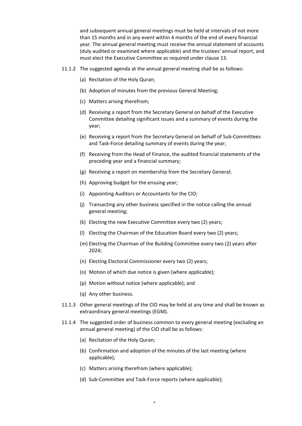and subsequent annual general meetings must be held at intervals of not more than 15 months and in any event within 4 months of the end of every financial year. The annual general meeting must receive the annual statement of accounts (duly audited or examined where applicable) and the trustees' annual report, and must elect the Executive Committee as required under claus[e 13.](#page-15-0)

- 11.1.2 The suggested agenda at the annual general meeting shall be as follows:
	- (a) Recitation of the Holy Quran;
	- (b) Adoption of minutes from the previous General Meeting;
	- (c) Matters arising therefrom;
	- (d) Receiving a report from the Secretary General on behalf of the Executive Committee detailing significant issues and a summary of events during the year;
	- (e) Receiving a report from the Secretary General on behalf of Sub-Committees and Task-Force detailing summary of events during the year;
	- (f) Receiving from the Head of Finance, the audited financial statements of the preceding year and a financial summary;
	- (g) Receiving a report on membership from the Secretary General;
	- (h) Approving budget for the ensuing year;
	- (i) Appointing Auditors or Accountants for the CIO;
	- (j) Transacting any other business specified in the notice calling the annual general meeting;
	- (k) Electing the new Executive Committee every two (2) years;
	- (l) Electing the Chairman of the Education Board every two (2) years;
	- (m) Electing the Chairman of the Building Committee every two (2) years after 2024;
	- (n) Electing Electoral Commissioner every two (2) years;
	- (o) Motion of which due notice is given (where applicable);
	- (p) Motion without notice (where applicable); and
	- (q) Any other business.
- 11.1.3 Other general meetings of the CIO may be held at any time and shall be known as extraordinary general meetings (EGM).
- 11.1.4 The suggested order of business common to every general meeting (excluding an annual general meeting) of the CIO shall be as follows:
	- (a) Recitation of the Holy Quran;
	- (b) Confirmation and adoption of the minutes of the last meeting (where applicable);
	- (c) Matters arising therefrom (where applicable);
	- (d) Sub-Committee and Task-Force reports (where applicable);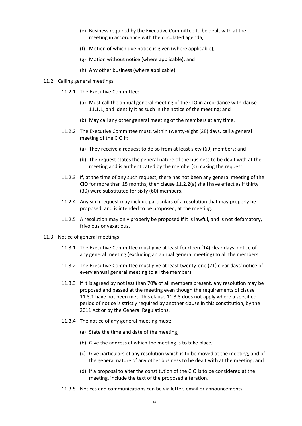- (e) Business required by the Executive Committee to be dealt with at the meeting in accordance with the circulated agenda;
- (f) Motion of which due notice is given (where applicable);
- (g) Motion without notice (where applicable); and
- (h) Any other business (where applicable).
- <span id="page-9-2"></span><span id="page-9-0"></span>11.2 Calling general meetings
	- 11.2.1 The Executive Committee:
		- (a) Must call the annual general meeting of the CIO in accordance with clause [11.1.1,](#page-7-2) and identify it as such in the notice of the meeting; and
		- (b) May call any other general meeting of the members at any time.
	- 11.2.2 The Executive Committee must, within twenty-eight (28) days, call a general meeting of the CIO if:
		- (a) They receive a request to do so from at least sixty (60) members; and
		- (b) The request states the general nature of the business to be dealt with at the meeting and is authenticated by the member(s) making the request.
	- 11.2.3 If, at the time of any such request, there has not been any general meeting of the CIO for more than 15 months, then clause [11.2.2\(a\)](#page-9-0) shall have effect as if thirty (30) were substituted for sixty (60) members.
	- 11.2.4 Any such request may include particulars of a resolution that may properly be proposed, and is intended to be proposed, at the meeting.
	- 11.2.5 A resolution may only properly be proposed if it is lawful, and is not defamatory, frivolous or vexatious.
- <span id="page-9-3"></span><span id="page-9-1"></span>11.3 Notice of general meetings
	- 11.3.1 The Executive Committee must give at least fourteen (14) clear days' notice of any general meeting (excluding an annual general meeting) to all the members.
	- 11.3.2 The Executive Committee must give at least twenty-one (21) clear days' notice of every annual general meeting to all the members.
	- 11.3.3 If it is agreed by not less than 70% of all members present, any resolution may be proposed and passed at the meeting even though the requirements of clause [11.3.1](#page-9-1) have not been met. This clause 11.3.3 does not apply where a specified period of notice is strictly required by another clause in this constitution, by the 2011 Act or by the General Regulations.
	- 11.3.4 The notice of any general meeting must:
		- (a) State the time and date of the meeting;
		- (b) Give the address at which the meeting is to take place;
		- (c) Give particulars of any resolution which is to be moved at the meeting, and of the general nature of any other business to be dealt with at the meeting; and
		- (d) If a proposal to alter the constitution of the CIO is to be considered at the meeting, include the text of the proposed alteration.
	- 11.3.5 Notices and communications can be via letter, email or announcements.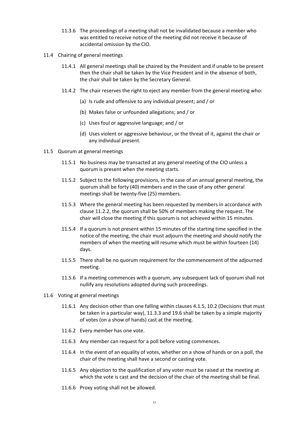- 11.3.6 The proceedings of a meeting shall not be invalidated because a member who was entitled to receive notice of the meeting did not receive it because of accidental omission by the CIO.
- 11.4 Chairing of general meetings
	- 11.4.1 All general meetings shall be chaired by the President and if unable to be present then the chair shall be taken by the Vice President and in the absence of both, the chair shall be taken by the Secretary General.
	- 11.4.2 The chair reserves the right to eject any member from the general meeting who:
		- (a) Is rude and offensive to any individual present; and / or
		- (b) Makes false or unfounded allegations; and / or
		- (c) Uses foul or aggressive language; and / or
		- (d) Uses violent or aggressive behaviour, or the threat of it, against the chair or any individual present.
- 11.5 Quorum at general meetings
	- 11.5.1 No business may be transacted at any general meeting of the CIO unless a quorum is present when the meeting starts.
	- 11.5.2 Subject to the following provisions, in the case of an annual general meeting, the quorum shall be forty (40) members and in the case of any other general meetings shall be twenty-five (25) members.
	- 11.5.3 Where the general meeting has been requested by members in accordance with clause [11.2.2,](#page-9-2) the quorum shall be 50% of members making the request. The chair will close the meeting if this quorum is not achieved within 15 minutes.
	- 11.5.4 If a quorum is not present within 15 minutes of the starting time specified in the notice of the meeting, the chair must adjourn the meeting and should notify the members of when the meeting will resume which must be within fourteen (14) days.
	- 11.5.5 There shall be no quorum requirement for the commencement of the adjourned meeting.
	- 11.5.6 If a meeting commences with a quorum, any subsequent lack of quorum shall not nullify any resolutions adopted during such proceedings.
- 11.6 Voting at general meetings
	- 11.6.1 Any decision other than one falling within clauses 4.1.5, [10.2](#page-7-1) (Decisions that must be taken in a particular way), 11.3.3 and 19.6 shall be taken by a simple majority of votes (on a show of hands) cast at the meeting.
	- 11.6.2 Every member has one vote.
	- 11.6.3 Any member can request for a poll before voting commences.
	- 11.6.4 In the event of an equality of votes, whether on a show of hands or on a poll, the chair of the meeting shall have a second or casting vote.
	- 11.6.5 Any objection to the qualification of any voter must be raised at the meeting at which the vote is cast and the decision of the chair of the meeting shall be final.
	- 11.6.6 Proxy voting shall not be allowed.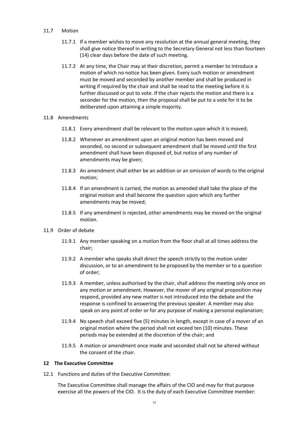# 11.7 Motion

- 11.7.1 If a member wishes to move any resolution at the annual general meeting, they shall give notice thereof in writing to the Secretary General not less than fourteen (14) clear days before the date of such meeting.
- 11.7.2 At any time, the Chair may at their discretion, permit a member to introduce a motion of which no notice has been given. Every such motion or amendment must be moved and seconded by another member and shall be produced in writing if required by the chair and shall be read to the meeting before it is further discussed or put to vote. If the chair rejects the motion and there is a seconder for the motion, then the proposal shall be put to a vote for it to be deliberated upon attaining a simple majority.

# 11.8 Amendments

- 11.8.1 Every amendment shall be relevant to the motion upon which it is moved;
- 11.8.2 Whenever an amendment upon an original motion has been moved and seconded, no second or subsequent amendment shall be moved until the first amendment shall have been disposed of, but notice of any number of amendments may be given;
- 11.8.3 An amendment shall either be an addition or an omission of words to the original motion;
- 11.8.4 If an amendment is carried, the motion as amended shall take the place of the original motion and shall become the question upon which any further amendments may be moved;
- 11.8.5 If any amendment is rejected, other amendments may be moved on the original motion.
- 11.9 Order of debate
	- 11.9.1 Any member speaking on a motion from the floor shall at all times address the chair;
	- 11.9.2 A member who speaks shall direct the speech strictly to the motion under discussion, or to an amendment to be proposed by the member or to a question of order;
	- 11.9.3 A member, unless authorised by the chair, shall address the meeting only once on any motion or amendment. However, the mover of any original proposition may respond, provided any new matter is not introduced into the debate and the response is confined to answering the previous speaker. A member may also speak on any point of order or for any purpose of making a personal explanation;
	- 11.9.4 No speech shall exceed five (5) minutes in length, except in case of a mover of an original motion where the period shall not exceed ten (10) minutes. These periods may be extended at the discretion of the chair; and
	- 11.9.5 A motion or amendment once made and seconded shall not be altered without the consent of the chair.

# **12 The Executive Committee**

12.1 Functions and duties of the Executive Committee:

The Executive Committee shall manage the affairs of the CIO and may for that purpose exercise all the powers of the CIO. It is the duty of each Executive Committee member: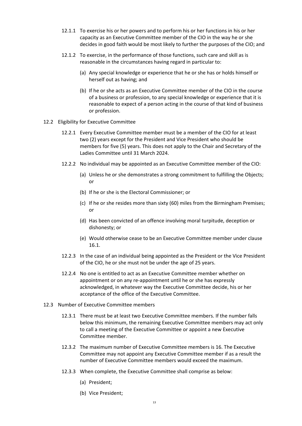- 12.1.1 To exercise his or her powers and to perform his or her functions in his or her capacity as an Executive Committee member of the CIO in the way he or she decides in good faith would be most likely to further the purposes of the CIO; and
- 12.1.2 To exercise, in the performance of those functions, such care and skill as is reasonable in the circumstances having regard in particular to:
	- (a) Any special knowledge or experience that he or she has or holds himself or herself out as having; and
	- (b) If he or she acts as an Executive Committee member of the CIO in the course of a business or profession, to any special knowledge or experience that it is reasonable to expect of a person acting in the course of that kind of business or profession.
- <span id="page-12-1"></span>12.2 Eligibility for Executive Committee
	- 12.2.1 Every Executive Committee member must be a member of the CIO for at least two (2) years except for the President and Vice President who should be members for five (5) years. This does not apply to the Chair and Secretary of the Ladies Committee until 31 March 2024.
	- 12.2.2 No individual may be appointed as an Executive Committee member of the CIO:
		- (a) Unless he or she demonstrates a strong commitment to fulfilling the Objects; or
		- (b) If he or she is the Electoral Commissioner; or
		- (c) If he or she resides more than sixty (60) miles from the Birmingham Premises; or
		- (d) Has been convicted of an offence involving moral turpitude, deception or dishonesty; or
		- (e) Would otherwise cease to be an Executive Committee member under clause 16.1.
	- 12.2.3 In the case of an individual being appointed as the President or the Vice President of the CIO, he or she must not be under the age of 25 years.
	- 12.2.4 No one is entitled to act as an Executive Committee member whether on appointment or on any re-appointment until he or she has expressly acknowledged, in whatever way the Executive Committee decide, his or her acceptance of the office of the Executive Committee.
- <span id="page-12-0"></span>12.3 Number of Executive Committee members
	- 12.3.1 There must be at least two Executive Committee members. If the number falls below this minimum, the remaining Executive Committee members may act only to call a meeting of the Executive Committee or appoint a new Executive Committee member.
	- 12.3.2 The maximum number of Executive Committee members is 16. The Executive Committee may not appoint any Executive Committee member if as a result the number of Executive Committee members would exceed the maximum.
	- 12.3.3 When complete, the Executive Committee shall comprise as below:
		- (a) President;
		- (b) Vice President;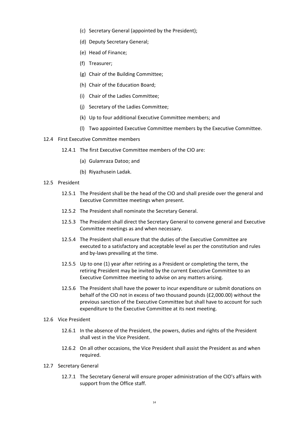- (c) Secretary General (appointed by the President);
- (d) Deputy Secretary General;
- (e) Head of Finance;
- (f) Treasurer;
- (g) Chair of the Building Committee;
- (h) Chair of the Education Board;
- (i) Chair of the Ladies Committee;
- (j) Secretary of the Ladies Committee;
- (k) Up to four additional Executive Committee members; and
- (l) Two appointed Executive Committee members by the Executive Committee.
- 12.4 First Executive Committee members
	- 12.4.1 The first Executive Committee members of the CIO are:
		- (a) Gulamraza Datoo; and
		- (b) Riyazhusein Ladak.
- 12.5 President
	- 12.5.1 The President shall be the head of the CIO and shall preside over the general and Executive Committee meetings when present.
	- 12.5.2 The President shall nominate the Secretary General.
	- 12.5.3 The President shall direct the Secretary General to convene general and Executive Committee meetings as and when necessary.
	- 12.5.4 The President shall ensure that the duties of the Executive Committee are executed to a satisfactory and acceptable level as per the constitution and rules and by-laws prevailing at the time.
	- 12.5.5 Up to one (1) year after retiring as a President or completing the term, the retiring President may be invited by the current Executive Committee to an Executive Committee meeting to advise on any matters arising.
	- 12.5.6 The President shall have the power to incur expenditure or submit donations on behalf of the CIO not in excess of two thousand pounds (£2,000.00) without the previous sanction of the Executive Committee but shall have to account for such expenditure to the Executive Committee at its next meeting.
- 12.6 Vice President
	- 12.6.1 In the absence of the President, the powers, duties and rights of the President shall vest in the Vice President.
	- 12.6.2 On all other occasions, the Vice President shall assist the President as and when required.
- 12.7 Secretary General
	- 12.7.1 The Secretary General will ensure proper administration of the CIO's affairs with support from the Office staff.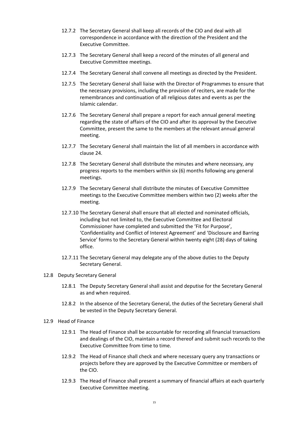- 12.7.2 The Secretary General shall keep all records of the CIO and deal with all correspondence in accordance with the direction of the President and the Executive Committee.
- 12.7.3 The Secretary General shall keep a record of the minutes of all general and Executive Committee meetings.
- 12.7.4 The Secretary General shall convene all meetings as directed by the President.
- 12.7.5 The Secretary General shall liaise with the Director of Programmes to ensure that the necessary provisions, including the provision of reciters, are made for the remembrances and continuation of all religious dates and events as per the Islamic calendar.
- 12.7.6 The Secretary General shall prepare a report for each annual general meeting regarding the state of affairs of the CIO and after its approval by the Executive Committee, present the same to the members at the relevant annual general meeting.
- 12.7.7 The Secretary General shall maintain the list of all members in accordance with clause [24.](#page-22-0)
- 12.7.8 The Secretary General shall distribute the minutes and where necessary, any progress reports to the members within six (6) months following any general meetings.
- 12.7.9 The Secretary General shall distribute the minutes of Executive Committee meetings to the Executive Committee members within two (2) weeks after the meeting.
- 12.7.10 The Secretary General shall ensure that all elected and nominated officials, including but not limited to, the Executive Committee and Electoral Commissioner have completed and submitted the 'Fit for Purpose', 'Confidentiality and Conflict of Interest Agreement' and 'Disclosure and Barring Service' forms to the Secretary General within twenty eight (28) days of taking office.
- 12.7.11 The Secretary General may delegate any of the above duties to the Deputy Secretary General.
- 12.8 Deputy Secretary General
	- 12.8.1 The Deputy Secretary General shall assist and deputise for the Secretary General as and when required.
	- 12.8.2 In the absence of the Secretary General, the duties of the Secretary General shall be vested in the Deputy Secretary General.
- 12.9 Head of Finance
	- 12.9.1 The Head of Finance shall be accountable for recording all financial transactions and dealings of the CIO, maintain a record thereof and submit such records to the Executive Committee from time to time.
	- 12.9.2 The Head of Finance shall check and where necessary query any transactions or projects before they are approved by the Executive Committee or members of the CIO.
	- 12.9.3 The Head of Finance shall present a summary of financial affairs at each quarterly Executive Committee meeting.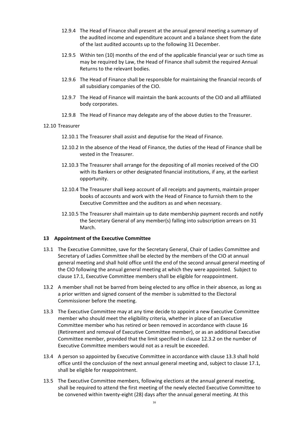- 12.9.4 The Head of Finance shall present at the annual general meeting a summary of the audited income and expenditure account and a balance sheet from the date of the last audited accounts up to the following 31 December.
- 12.9.5 Within ten (10) months of the end of the applicable financial year or such time as may be required by Law, the Head of Finance shall submit the required Annual Returns to the relevant bodies.
- 12.9.6 The Head of Finance shall be responsible for maintaining the financial records of all subsidiary companies of the CIO.
- 12.9.7 The Head of Finance will maintain the bank accounts of the CIO and all affiliated body corporates.
- 12.9.8 The Head of Finance may delegate any of the above duties to the Treasurer.

## 12.10 Treasurer

- 12.10.1 The Treasurer shall assist and deputise for the Head of Finance.
- 12.10.2 In the absence of the Head of Finance, the duties of the Head of Finance shall be vested in the Treasurer.
- 12.10.3 The Treasurer shall arrange for the depositing of all monies received of the CIO with its Bankers or other designated financial institutions, if any, at the earliest opportunity.
- 12.10.4 The Treasurer shall keep account of all receipts and payments, maintain proper books of accounts and work with the Head of Finance to furnish them to the Executive Committee and the auditors as and when necessary.
- 12.10.5 The Treasurer shall maintain up to date membership payment records and notify the Secretary General of any member(s) falling into subscription arrears on 31 March.

# <span id="page-15-0"></span>**13 Appointment of the Executive Committee**

- 13.1 The Executive Committee, save for the Secretary General, Chair of Ladies Committee and Secretary of Ladies Committee shall be elected by the members of the CIO at annual general meeting and shall hold office until the end of the second annual general meeting of the CIO following the annual general meeting at which they were appointed. Subject to clause [17.1,](#page-19-0) Executive Committee members shall be eligible for reappointment.
- 13.2 A member shall not be barred from being elected to any office in their absence, as long as a prior written and signed consent of the member is submitted to the Electoral Commissioner before the meeting.
- <span id="page-15-1"></span>13.3 The Executive Committee may at any time decide to appoint a new Executive Committee member who should meet the eligibility criteria, whether in place of an Executive Committee member who has retired or been removed in accordance with clause [16](#page-17-0) (Retirement and removal of Executive Committee member), or as an additional Executive Committee member, provided that the limit specified in clause [12.3.2](#page-12-0) on the number of Executive Committee members would not as a result be exceeded.
- 13.4 A person so appointed by Executive Committee in accordance with clause [13.3](#page-15-1) shall hold office until the conclusion of the next annual general meeting and, subject to clause [17.1,](#page-19-0) shall be eligible for reappointment.
- 13.5 The Executive Committee members, following elections at the annual general meeting, shall be required to attend the first meeting of the newly elected Executive Committee to be convened within twenty-eight (28) days after the annual general meeting. At this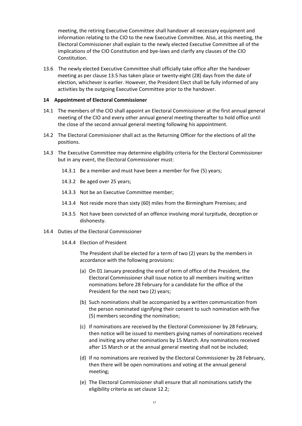meeting, the retiring Executive Committee shall handover all necessary equipment and information relating to the CIO to the new Executive Committee. Also, at this meeting, the Electoral Commissioner shall explain to the newly elected Executive Committee all of the implications of the CIO Constitution and bye-laws and clarify any clauses of the CIO Constitution.

13.6 The newly elected Executive Committee shall officially take office after the handover meeting as per clause 13.5 has taken place or twenty-eight (28) days from the date of election, whichever is earlier. However, the President Elect shall be fully informed of any activities by the outgoing Executive Committee prior to the handover.

## <span id="page-16-0"></span>**14 Appointment of Electoral Commissioner**

- 14.1 The members of the CIO shall appoint an Electoral Commissioner at the first annual general meeting of the CIO and every other annual general meeting thereafter to hold office until the close of the second annual general meeting following his appointment.
- 14.2 The Electoral Commissioner shall act as the Returning Officer for the elections of all the positions.
- 14.3 The Executive Committee may determine eligibility criteria for the Electoral Commissioner but in any event, the Electoral Commissioner must:
	- 14.3.1 Be a member and must have been a member for five (5) years;
	- 14.3.2 Be aged over 25 years;
	- 14.3.3 Not be an Executive Committee member;
	- 14.3.4 Not reside more than sixty (60) miles from the Birmingham Premises; and
	- 14.3.5 Not have been convicted of an offence involving moral turpitude, deception or dishonesty.
- 14.4 Duties of the Electoral Commissioner
	- 14.4.4 Election of President

The President shall be elected for a term of two (2) years by the members in accordance with the following provisions:

- (a) On 01 January preceding the end of term of office of the President, the Electoral Commissioner shall issue notice to all members inviting written nominations before 28 February for a candidate for the office of the President for the next two (2) years;
- (b) Such nominations shall be accompanied by a written communication from the person nominated signifying their consent to such nomination with five (5) members seconding the nomination;
- (c) If nominations are received by the Electoral Commissioner by 28 February, then notice will be issued to members giving names of nominations received and inviting any other nominations by 15 March. Any nominations received after 15 March or at the annual general meeting shall not be included;
- (d) If no nominations are received by the Electoral Commissioner by 28 February, then there will be open nominations and voting at the annual general meeting;
- (e) The Electoral Commissioner shall ensure that all nominations satisfy the eligibility criteria as set clause [12.2;](#page-12-1)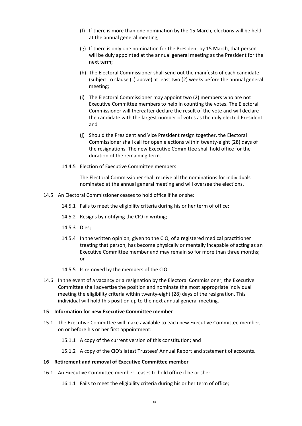- (f) If there is more than one nomination by the 15 March, elections will be held at the annual general meeting;
- (g) If there is only one nomination for the President by 15 March, that person will be duly appointed at the annual general meeting as the President for the next term;
- (h) The Electoral Commissioner shall send out the manifesto of each candidate (subject to clause (c) above) at least two (2) weeks before the annual general meeting;
- (i) The Electoral Commissioner may appoint two (2) members who are not Executive Committee members to help in counting the votes. The Electoral Commissioner will thereafter declare the result of the vote and will declare the candidate with the largest number of votes as the duly elected President; and
- (j) Should the President and Vice President resign together, the Electoral Commissioner shall call for open elections within twenty-eight (28) days of the resignations. The new Executive Committee shall hold office for the duration of the remaining term.
- 14.4.5 Election of Executive Committee members

The Electoral Commissioner shall receive all the nominations for individuals nominated at the annual general meeting and will oversee the elections.

- 14.5 An Electoral Commissioner ceases to hold office if he or she:
	- 14.5.1 Fails to meet the eligibility criteria during his or her term of office;
	- 14.5.2 Resigns by notifying the CIO in writing;
	- 14.5.3 Dies;
	- 14.5.4 In the written opinion, given to the CIO, of a registered medical practitioner treating that person, has become physically or mentally incapable of acting as an Executive Committee member and may remain so for more than three months; or
	- 14.5.5 Is removed by the members of the CIO.
- 14.6 In the event of a vacancy or a resignation by the Electoral Commissioner, the Executive Committee shall advertise the position and nominate the most appropriate individual meeting the eligibility criteria within twenty-eight (28) days of the resignation. This individual will hold this position up to the next annual general meeting.

## **15 Information for new Executive Committee member**

- 15.1 The Executive Committee will make available to each new Executive Committee member, on or before his or her first appointment:
	- 15.1.1 A copy of the current version of this constitution; and
	- 15.1.2 A copy of the ClO's latest Trustees' Annual Report and statement of accounts.

#### <span id="page-17-0"></span>**16 Retirement and removal of Executive Committee member**

- 16.1 An Executive Committee member ceases to hold office if he or she:
	- 16.1.1 Fails to meet the eligibility criteria during his or her term of office;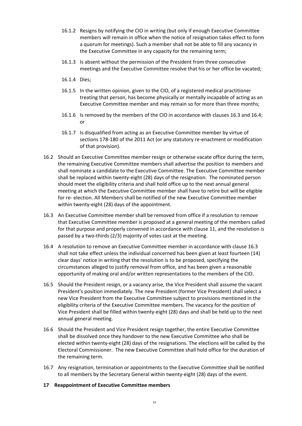- 16.1.2 Resigns by notifying the CIO in writing (but only if enough Executive Committee members will remain in office when the notice of resignation takes effect to form a quorum for meetings). Such a member shall not be able to fill any vacancy in the Executive Committee in any capacity for the remaining term;
- 16.1.3 Is absent without the permission of the President from three consecutive meetings and the Executive Committee resolve that his or her office be vacated;
- 16.1.4 Dies;
- 16.1.5 In the written opinion, given to the CIO, of a registered medical practitioner treating that person, has become physically or mentally incapable of acting as an Executive Committee member and may remain so for more than three months;
- 16.1.6 Is removed by the members of the CIO in accordance with clauses [16.3](#page-18-0) an[d 16.4;](#page-18-1) or
- 16.1.7 Is disqualified from acting as an Executive Committee member by virtue of sections 178-180 of the 2011 Act (or any statutory re-enactment or modification of that provision).
- 16.2 Should an Executive Committee member resign or otherwise vacate office during the term, the remaining Executive Committee members shall advertise the position to members and shall nominate a candidate to the Executive Committee. The Executive Committee member shall be replaced within twenty-eight (28) days of the resignation. The nominated person should meet the eligibility criteria and shall hold office up to the next annual general meeting at which the Executive Committee member shall have to retire but will be eligible for re- election. All Members shall be notified of the new Executive Committee member within twenty-eight (28) days of the appointment.
- <span id="page-18-0"></span>16.3 An Executive Committee member shall be removed from office if a resolution to remove that Executive Committee member is proposed at a general meeting of the members called for that purpose and properly convened in accordance with clause [11,](#page-7-3) and the resolution is passed by a two-thirds (2/3) majority of votes cast at the meeting.
- <span id="page-18-1"></span>16.4 A resolution to remove an Executive Committee member in accordance with clause [16.3](#page-18-0) shall not take effect unless the individual concerned has been given at least fourteen (14) clear days' notice in writing that the resolution is to be proposed, specifying the circumstances alleged to justify removal from office, and has been given a reasonable opportunity of making oral and/or written representations to the members of the CIO.
- 16.5 Should the President resign, or a vacancy arise, the Vice President shall assume the vacant President's position immediately. The new President (former Vice President) shall select a new Vice President from the Executive Committee subject to provisions mentioned in the eligibility criteria of the Executive Committee members. The vacancy for the position of Vice President shall be filled within twenty-eight (28) days and shall be held up to the next annual general meeting.
- 16.6 Should the President and Vice President resign together, the entire Executive Committee shall be dissolved once they handover to the new Executive Committee who shall be elected within twenty-eight (28) days of the resignations. The elections will be called by the Electoral Commissioner. The new Executive Committee shall hold office for the duration of the remaining term.
- 16.7 Any resignation, termination or appointments to the Executive Committee shall be notified to all members by the Secretary General within twenty-eight (28) days of the event.
- **17 Reappointment of Executive Committee members**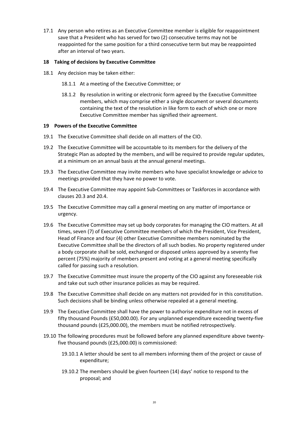<span id="page-19-0"></span>17.1 Any person who retires as an Executive Committee member is eligible for reappointment save that a President who has served for two (2) consecutive terms may not be reappointed for the same position for a third consecutive term but may be reappointed after an interval of two years.

# **18 Taking of decisions by Executive Committee**

- 18.1 Any decision may be taken either:
	- 18.1.1 At a meeting of the Executive Committee; or
	- 18.1.2 By resolution in writing or electronic form agreed by the Executive Committee members, which may comprise either a single document or several documents containing the text of the resolution in like form to each of which one or more Executive Committee member has signified their agreement.

# **19 Powers of the Executive Committee**

- 19.1 The Executive Committee shall decide on all matters of the CIO.
- 19.2 The Executive Committee will be accountable to its members for the delivery of the Strategic Plan as adopted by the members, and will be required to provide regular updates, at a minimum on an annual basis at the annual general meetings.
- 19.3 The Executive Committee may invite members who have specialist knowledge or advice to meetings provided that they have no power to vote.
- 19.4 The Executive Committee may appoint Sub-Committees or Taskforces in accordance with clauses 20.3 and 20.4.
- 19.5 The Executive Committee may call a general meeting on any matter of importance or urgency.
- 19.6 The Executive Committee may set up body corporates for managing the CIO matters. At all times, seven (7) of Executive Committee members of which the President, Vice President, Head of Finance and four (4) other Executive Committee members nominated by the Executive Committee shall be the directors of all such bodies. No property registered under a body corporate shall be sold, exchanged or disposed unless approved by a seventy five percent (75%) majority of members present and voting at a general meeting specifically called for passing such a resolution.
- 19.7 The Executive Committee must insure the property of the CIO against any foreseeable risk and take out such other insurance policies as may be required.
- 19.8 The Executive Committee shall decide on any matters not provided for in this constitution. Such decisions shall be binding unless otherwise repealed at a general meeting.
- 19.9 The Executive Committee shall have the power to authorise expenditure not in excess of fifty thousand Pounds (£50,000.00). For any unplanned expenditure exceeding twenty-five thousand pounds (£25,000.00), the members must be notified retrospectively.
- 19.10 The following procedures must be followed before any planned expenditure above twentyfive thousand pounds (£25,000.00) is commissioned:
	- 19.10.1 A letter should be sent to all members informing them of the project or cause of expenditure;
	- 19.10.2 The members should be given fourteen (14) days' notice to respond to the proposal; and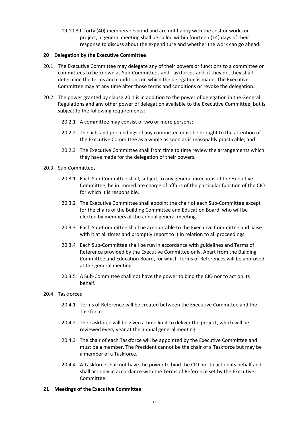19.10.3 If forty (40) members respond and are not happy with the cost or works or project, a general meeting shall be called within fourteen (14) days of their response to discuss about the expenditure and whether the work can go ahead.

# <span id="page-20-1"></span>**20 Delegation by the Executive Committee**

- <span id="page-20-0"></span>20.1 The Executive Committee may delegate any of their powers or functions to a committee or committees to be known as Sub-Committees and Taskforces and, if they do, they shall determine the terms and conditions on which the delegation is made. The Executive Committee may at any time alter those terms and conditions or revoke the delegation.
- 20.2 The power granted by clause [20.1](#page-20-0) is in addition to the power of delegation in the General Regulations and any other power of delegation available to the Executive Committee, but is subject to the following requirements:
	- 20.2.1 A committee may consist of two or more persons;
	- 20.2.2 The acts and proceedings of any committee must be brought to the attention of the Executive Committee as a whole as soon as is reasonably practicable; and
	- 20.2.3 The Executive Committee shall from time to time review the arrangements which they have made for the delegation of their powers.
- 20.3 Sub-Committees
	- 20.3.1 Each Sub-Committee shall, subject to any general directions of the Executive Committee, be in immediate charge of affairs of the particular function of the CIO for which it is responsible.
	- 20.3.2 The Executive Committee shall appoint the chair of each Sub-Committee except for the chairs of the Building Committee and Education Board, who will be elected by members at the annual general meeting.
	- 20.3.3 Each Sub-Committee shall be accountable to the Executive Committee and liaise with it at all times and promptly report to it in relation to all proceedings.
	- 20.3.4 Each Sub-Committee shall be run in accordance with guidelines and Terms of Reference provided by the Executive Committee only. Apart from the Building Committee and Education Board, for which Terms of References will be approved at the general meeting.
	- 20.3.5 A Sub-Committee shall not have the power to bind the CIO nor to act on its behalf.
- 20.4 Taskforces
	- 20.4.1 Terms of Reference will be created between the Executive Committee and the Taskforce.
	- 20.4.2 The Taskforce will be given a time limit to deliver the project, which will be reviewed every year at the annual general meeting.
	- 20.4.3 The chair of each Taskforce will be appointed by the Executive Committee and must be a member. The President cannot be the chair of a Taskforce but may be a member of a Taskforce.
	- 20.4.4 A Taskforce shall not have the power to bind the CIO nor to act on its behalf and shall act only in accordance with the Terms of Reference set by the Executive Committee.

# **21 Meetings of the Executive Committee**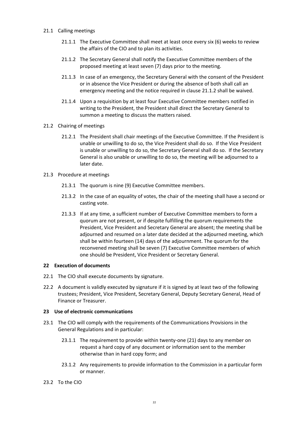- <span id="page-21-1"></span><span id="page-21-0"></span>21.1 Calling meetings
	- 21.1.1 The Executive Committee shall meet at least once every six (6) weeks to review the affairs of the CIO and to plan its activities.
	- 21.1.2 The Secretary General shall notify the Executive Committee members of the proposed meeting at least seven (7) days prior to the meeting.
	- 21.1.3 In case of an emergency, the Secretary General with the consent of the President or in absence the Vice President or during the absence of both shall call an emergency meeting and the notice required in clause [21.1.2](#page-21-0) shall be waived.
	- 21.1.4 Upon a requisition by at least four Executive Committee members notified in writing to the President, the President shall direct the Secretary General to summon a meeting to discuss the matters raised.
- 21.2 Chairing of meetings
	- 21.2.1 The President shall chair meetings of the Executive Committee. If the President is unable or unwilling to do so, the Vice President shall do so. If the Vice President is unable or unwilling to do so, the Secretary General shall do so. If the Secretary General is also unable or unwilling to do so, the meeting will be adjourned to a later date.
- 21.3 Procedure at meetings
	- 21.3.1 The quorum is nine (9) Executive Committee members.
	- 21.3.2 In the case of an equality of votes, the chair of the meeting shall have a second or casting vote.
	- 21.3.3 If at any time, a sufficient number of Executive Committee members to form a quorum are not present, or if despite fulfilling the quorum requirements the President, Vice President and Secretary General are absent; the meeting shall be adjourned and resumed on a later date decided at the adjourned meeting, which shall be within fourteen (14) days of the adjournment. The quorum for the reconvened meeting shall be seven (7) Executive Committee members of which one should be President, Vice President or Secretary General.

## **22 Execution of documents**

- 22.1 The CIO shall execute documents by signature.
- 22.2 A document is validly executed by signature if it is signed by at least two of the following trustees; President, Vice President, Secretary General, Deputy Secretary General, Head of Finance or Treasurer.

#### **23 Use of electronic communications**

- 23.1 The CIO will comply with the requirements of the Communications Provisions in the General Regulations and in particular:
	- 23.1.1 The requirement to provide within twenty-one (21) days to any member on request a hard copy of any document or information sent to the member otherwise than in hard copy form; and
	- 23.1.2 Any requirements to provide information to the Commission in a particular form or manner.
- 23.2 To the CIO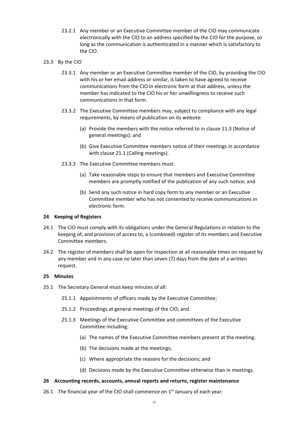- 23.2.1 Any member or an Executive Committee member of the CIO may communicate electronically with the CIO to an address specified by the CIO for the purpose, so long as the communication is authenticated in a manner which is satisfactory to the CIO.
- 23.3 By the CIO
	- 23.3.1 Any member or an Executive Committee member of the CIO, by providing the CIO with his or her email address or similar, is taken to have agreed to receive communications from the CIO in electronic form at that address, unless the member has indicated to the CIO his or her unwillingness to receive such communications in that form.
	- 23.3.2 The Executive Committee members may, subject to compliance with any legal requirements, by means of publication on its website:
		- (a) Provide the members with the notice referred to in clause [11.3](#page-9-3) (Notice of general meetings); and
		- (b) Give Executive Committee members notice of their meetings in accordance with clause [21.1](#page-21-1) (Calling meetings).
	- 23.3.3 The Executive Committee members must:
		- (a) Take reasonable steps to ensure that members and Executive Committee members are promptly notified of the publication of any such notice; and
		- (b) Send any such notice in hard copy form to any member or an Executive Committee member who has not consented to receive communications in electronic form.

# <span id="page-22-0"></span>**24 Keeping of Registers**

- 24.1 The CIO must comply with its obligations under the General Regulations in relation to the keeping of, and provision of access to, a (combined) register of its members and Executive Committee members.
- 24.2 The register of members shall be open for inspection at all reasonable times on request by any member and in any case no later than seven (7) days from the date of a written request.

# **25 Minutes**

- 25.1 The Secretary General must keep minutes of all:
	- 25.1.1 Appointments of officers made by the Executive Committee;
	- 25.1.2 Proceedings at general meetings of the CIO; and
	- 25.1.3 Meetings of the Executive Committee and committees of the Executive Committee including:
		- (a) The names of the Executive Committee members present at the meeting;
		- (b) The decisions made at the meetings;
		- (c) Where appropriate the reasons for the decisions; and
		- (d) Decisions made by the Executive Committee otherwise than in meetings.

# **26 Accounting records, accounts, annual reports and returns, register maintenance**

26.1 The financial year of the CIO shall commence on  $1<sup>st</sup>$  January of each year.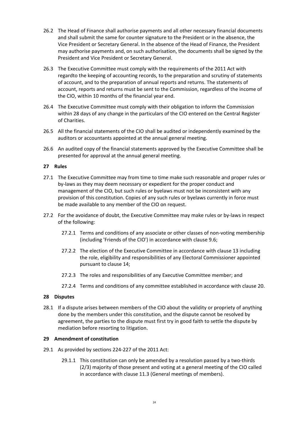- 26.2 The Head of Finance shall authorise payments and all other necessary financial documents and shall submit the same for counter signature to the President or in the absence, the Vice President or Secretary General. In the absence of the Head of Finance, the President may authorise payments and, on such authorisation, the documents shall be signed by the President and Vice President or Secretary General.
- 26.3 The Executive Committee must comply with the requirements of the 2011 Act with regardto the keeping of accounting records, to the preparation and scrutiny of statements of account, and to the preparation of annual reports and returns. The statements of account, reports and returns must be sent to the Commission, regardless of the income of the CIO, within 10 months of the financial year end.
- 26.4 The Executive Committee must comply with their obligation to inform the Commission within 28 days of any change in the particulars of the CIO entered on the Central Register of Charities.
- 26.5 All the financial statements of the CIO shall be audited or independently examined by the auditors or accountants appointed at the annual general meeting.
- 26.6 An audited copy of the financial statements approved by the Executive Committee shall be presented for approval at the annual general meeting.

# **27 Rules**

- 27.1 The Executive Committee may from time to time make such reasonable and proper rules or by-laws as they may deem necessary or expedient for the proper conduct and management of the CIO, but such rules or byelaws must not be inconsistent with any provision of this constitution. Copies of any such rules or byelaws currently in force must be made available to any member of the CIO on request.
- 27.2 For the avoidance of doubt, the Executive Committee may make rules or by-laws in respect of the following:
	- 27.2.1 Terms and conditions of any associate or other classes of non-voting membership (including 'Friends of the CIO') in accordance with clause [9.6;](#page-7-4)
	- 27.2.2 The election of the Executive Committee in accordance with clause [13](#page-15-0) including the role, eligibility and responsibilities of any Electoral Commissioner appointed pursuant to claus[e 14;](#page-16-0)
	- 27.2.3 The roles and responsibilities of any Executive Committee member; and
	- 27.2.4 Terms and conditions of any committee established in accordance with clause [20.](#page-20-1)

#### **28 Disputes**

28.1 If a dispute arises between members of the CIO about the validity or propriety of anything done by the members under this constitution, and the dispute cannot be resolved by agreement, the parties to the dispute must first try in good faith to settle the dispute by mediation before resorting to litigation.

#### <span id="page-23-0"></span>**29 Amendment of constitution**

- 29.1 As provided by sections 224-227 of the 2011 Act:
	- 29.1.1 This constitution can only be amended by a resolution passed by a two-thirds (2/3) majority of those present and voting at a general meeting of the CIO called in accordance with clause [11.3](#page-9-3) (General meetings of members).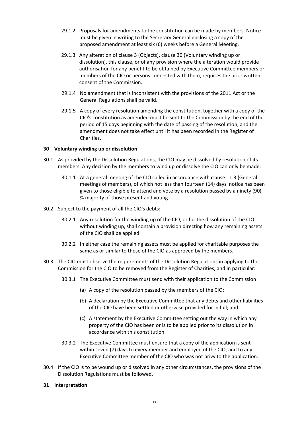- 29.1.2 Proposals for amendments to the constitution can be made by members. Notice must be given in writing to the Secretary General enclosing a copy of the proposed amendment at least six (6) weeks before a General Meeting.
- 29.1.3 Any alteration of clause [3](#page-1-0) (Objects), claus[e 30](#page-24-1) (Voluntary winding up or dissolution), this clause, or of any provision where the alteration would provide authorisation for any benefit to be obtained by Executive Committee members or members of the CIO or persons connected with them, requires the prior written consent of the Commission.
- 29.1.4 No amendment that is inconsistent with the provisions of the 2011 Act or the General Regulations shall be valid.
- 29.1.5 A copy of every resolution amending the constitution, together with a copy of the CIO's constitution as amended must be sent to the Commission by the end of the period of 15 days beginning with the date of passing of the resolution, and the amendment does not take effect until it has been recorded in the Register of Charities.

# <span id="page-24-1"></span>**30 Voluntary winding up or dissolution**

- 30.1 As provided by the Dissolution Regulations, the CIO may be dissolved by resolution of its members. Any decision by the members to wind up or dissolve the CIO can only be made:
	- 30.1.1 At a general meeting of the CIO called in accordance with clause [11.3](#page-9-3) (General meetings of members), of which not less than fourteen (14) days' notice has been given to those eligible to attend and vote by a resolution passed by a ninety (90) % majority of those present and voting.
- 30.2 Subject to the payment of all the CIO's debts:
	- 30.2.1 Any resolution for the winding up of the CIO, or for the dissolution of the CIO without winding up, shall contain a provision directing how any remaining assets of the CIO shall be applied.
	- 30.2.2 In either case the remaining assets must be applied for charitable purposes the same as or similar to those of the CIO as approved by the members.
- 30.3 The CIO must observe the requirements of the Dissolution Regulations in applying to the Commission for the CIO to be removed from the Register of Charities, and in particular:
	- 30.3.1 The Executive Committee must send with their application to the Commission:
		- (a) A copy of the resolution passed by the members of the CIO;
		- (b) A declaration by the Executive Committee that any debts and other liabilities of the CIO have been settled or otherwise provided for in full; and
		- (c) A statement by the Executive Committee setting out the way in which any property of the CIO has been or is to be applied prior to its dissolution in accordance with this constitution.
	- 30.3.2 The Executive Committee must ensure that a copy of the application is sent within seven (7) days to every member and employee of the CIO, and to any Executive Committee member of the CIO who was not privy to the application.
- 30.4 If the CIO is to be wound up or dissolved in any other circumstances, the provisions of the Dissolution Regulations must be followed.

# <span id="page-24-0"></span>**31 Interpretation**